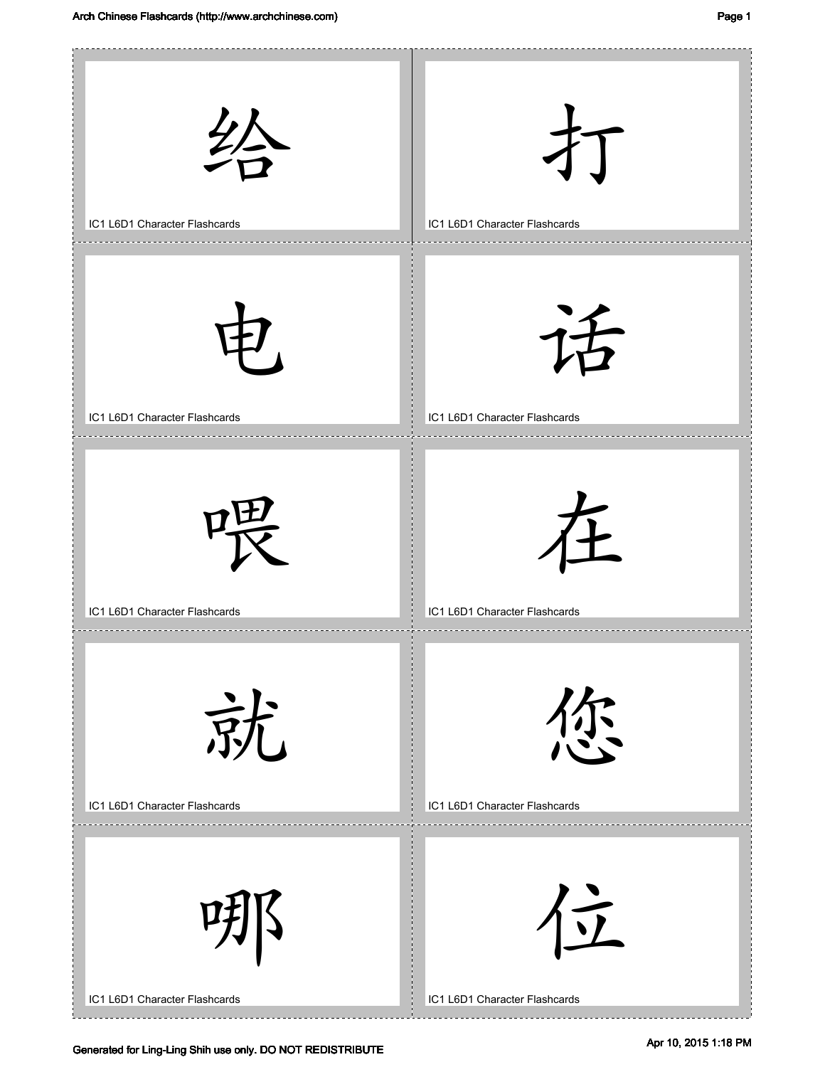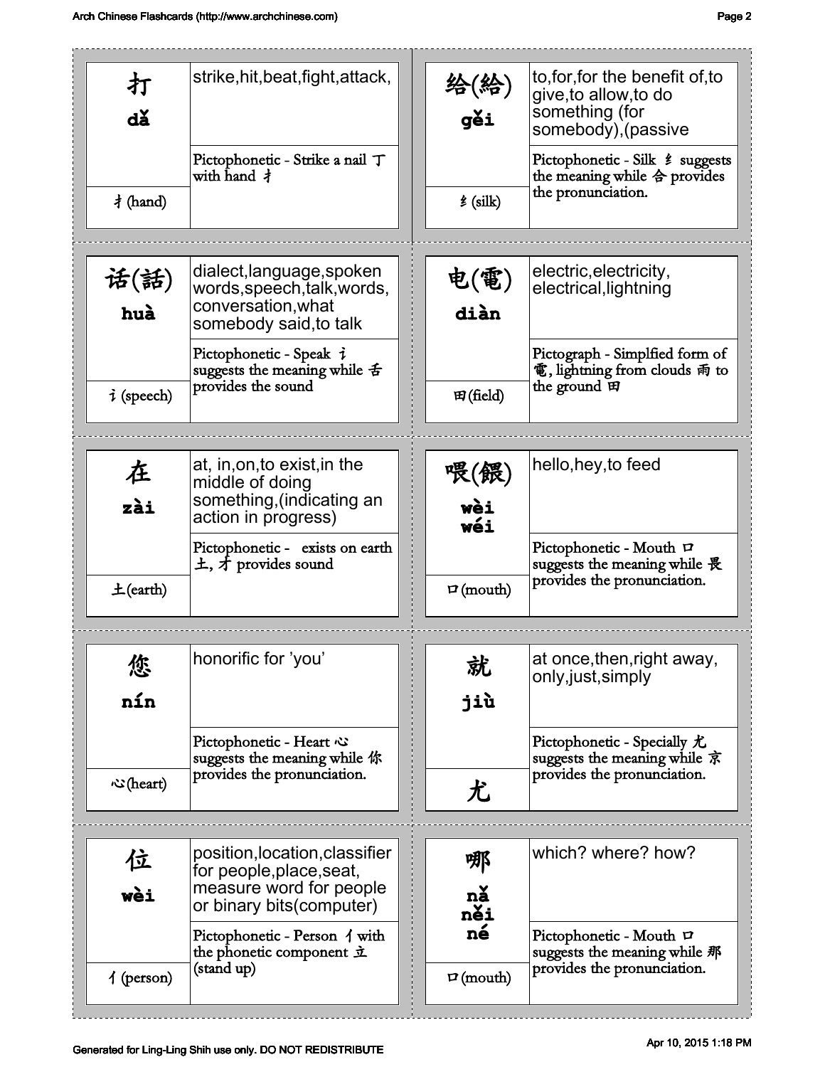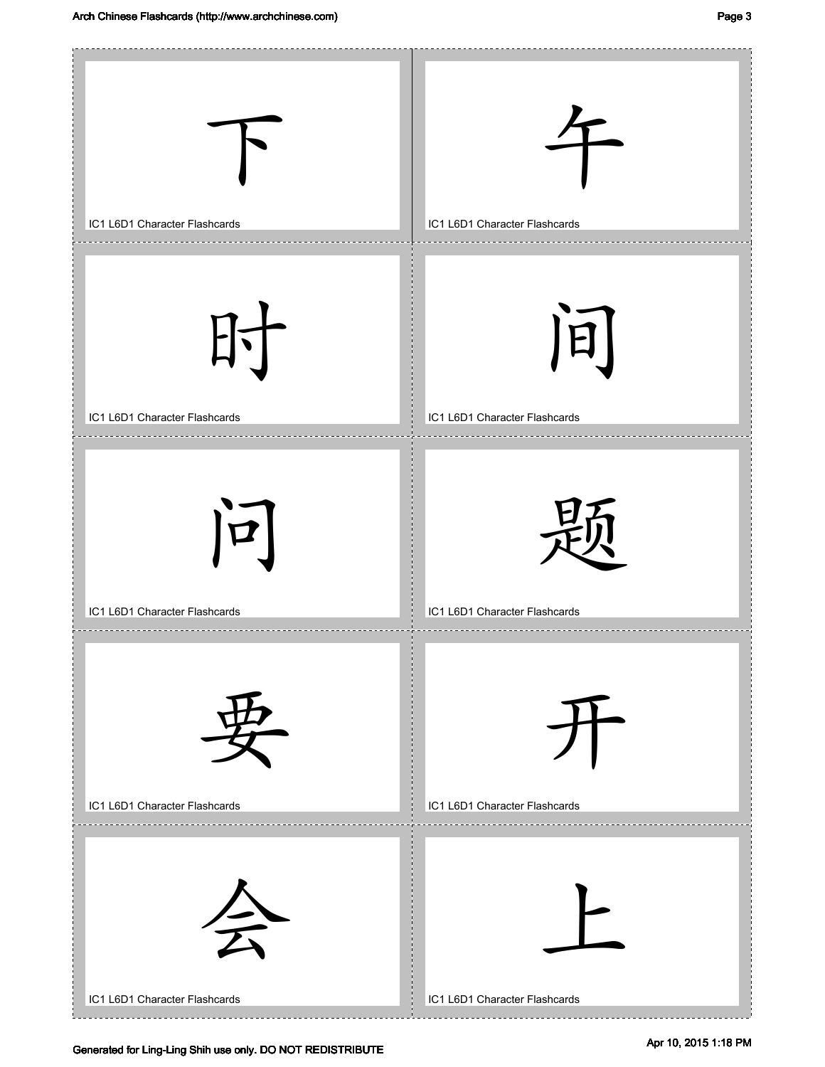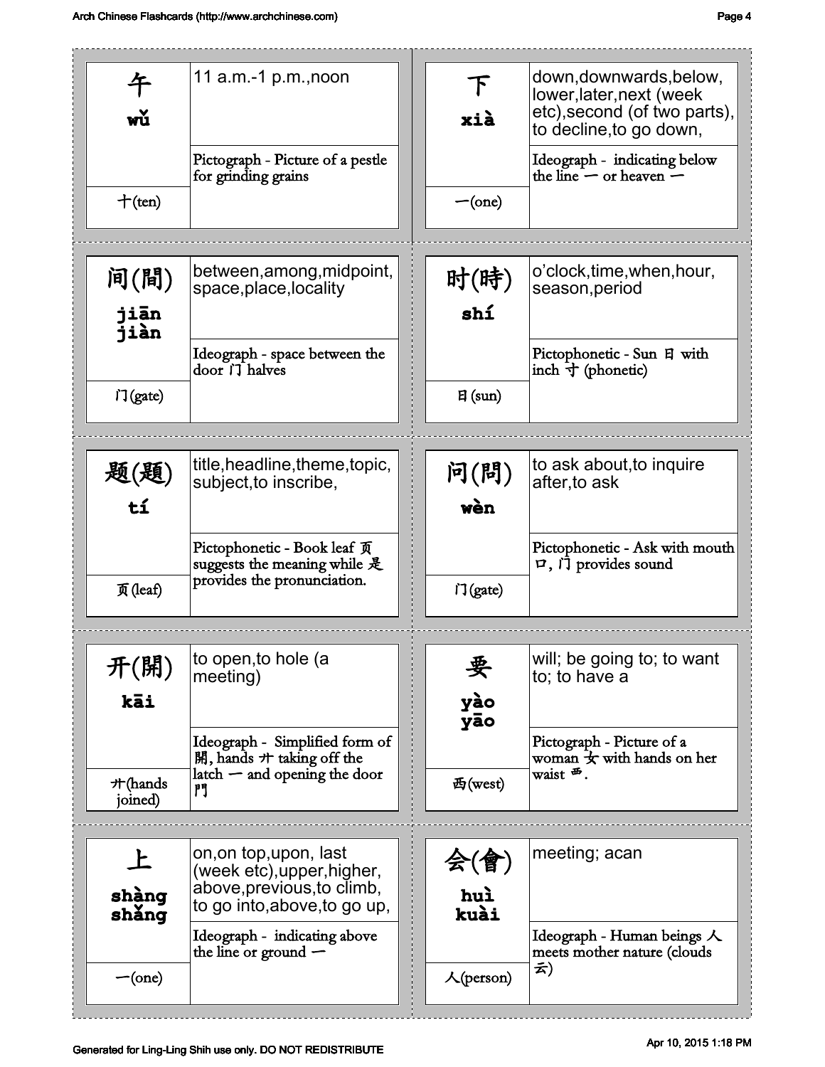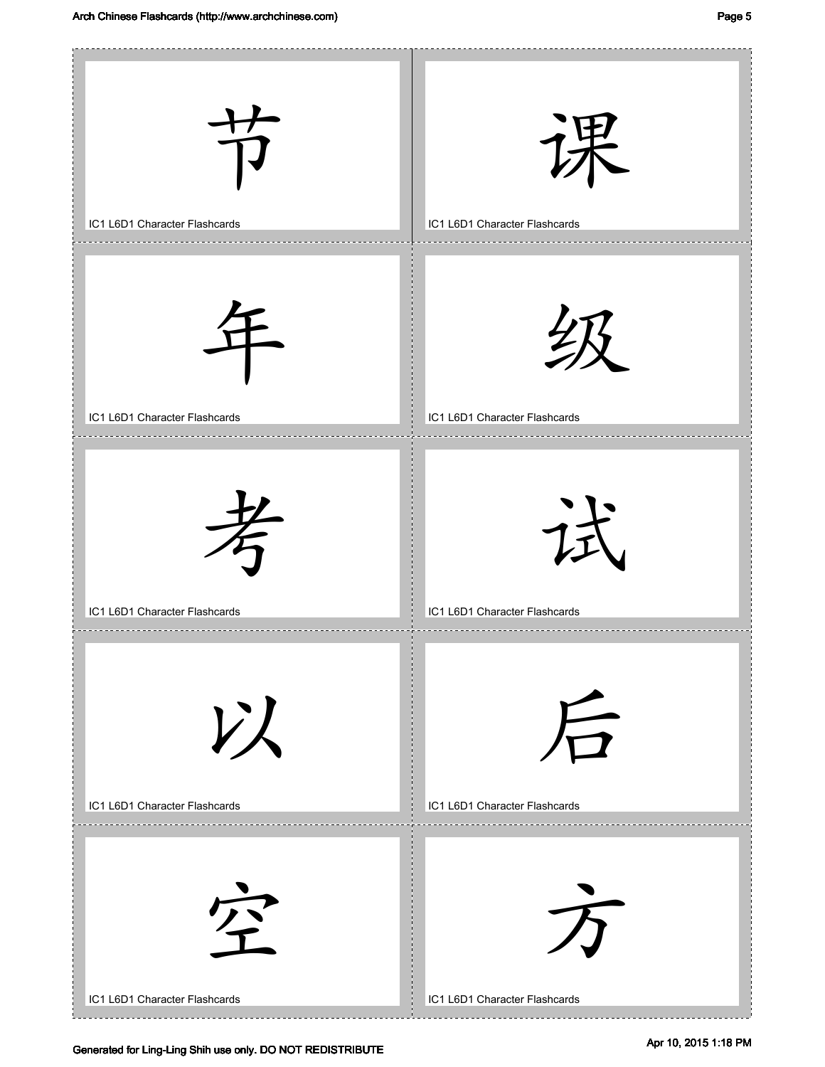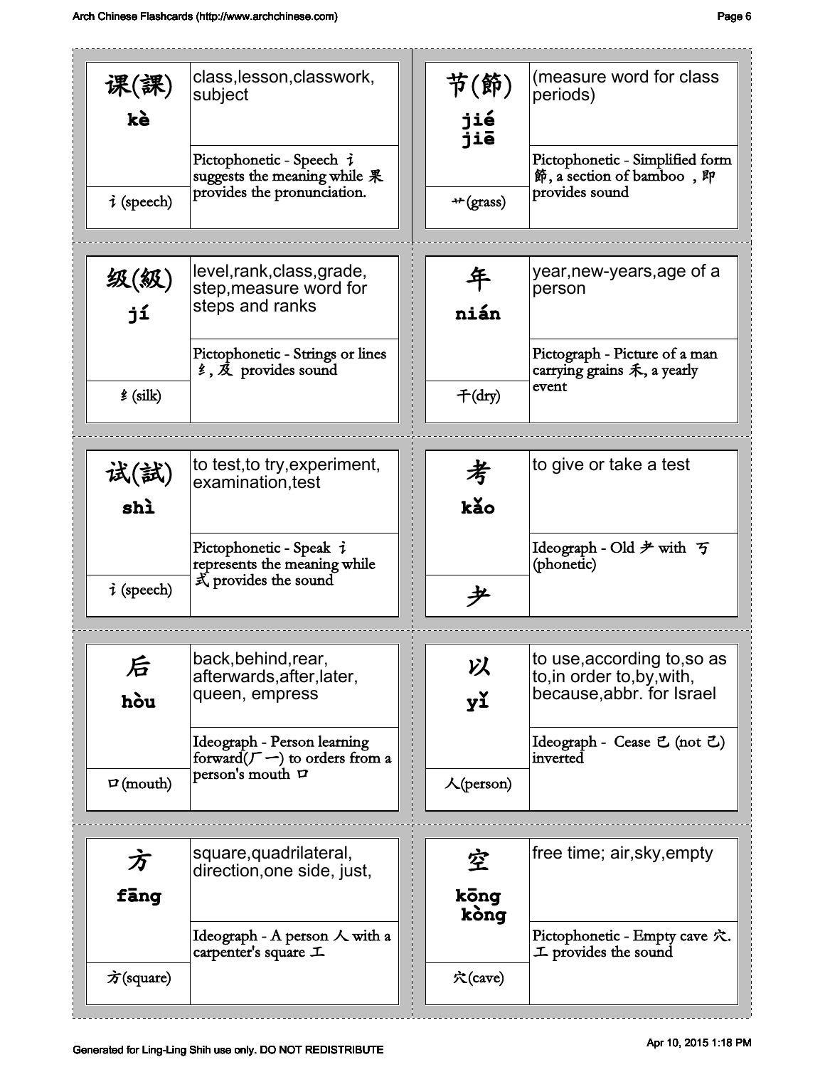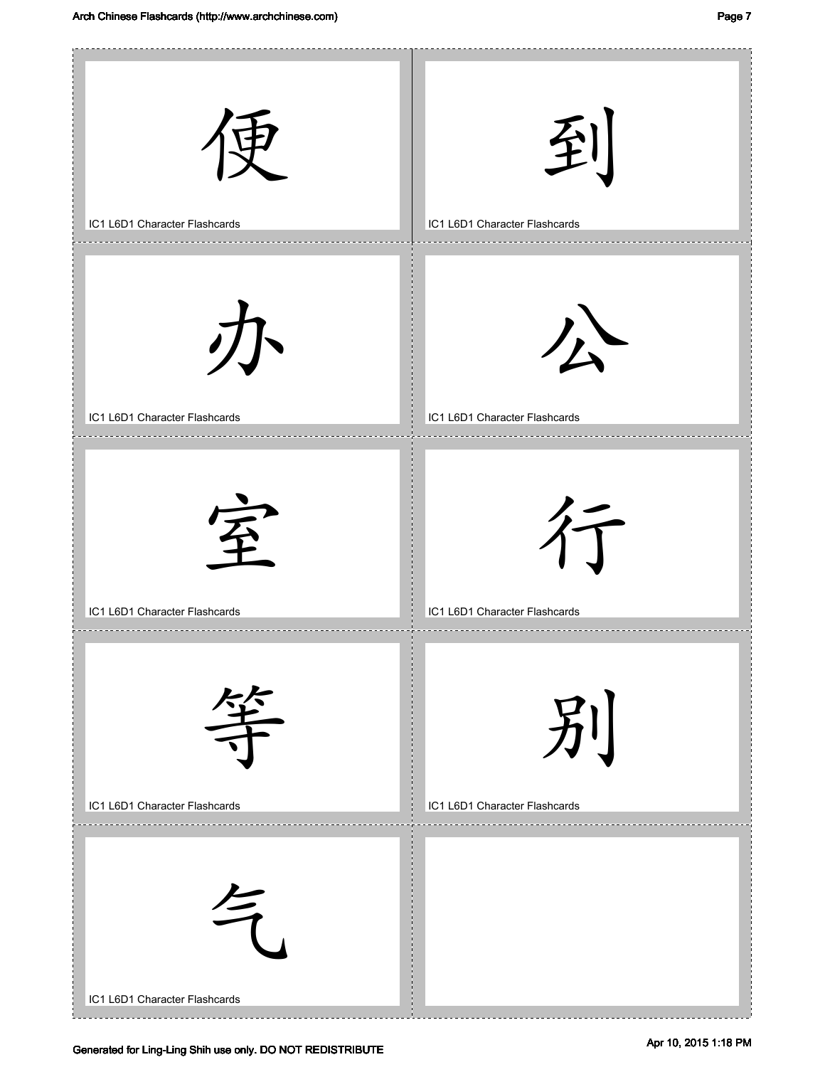